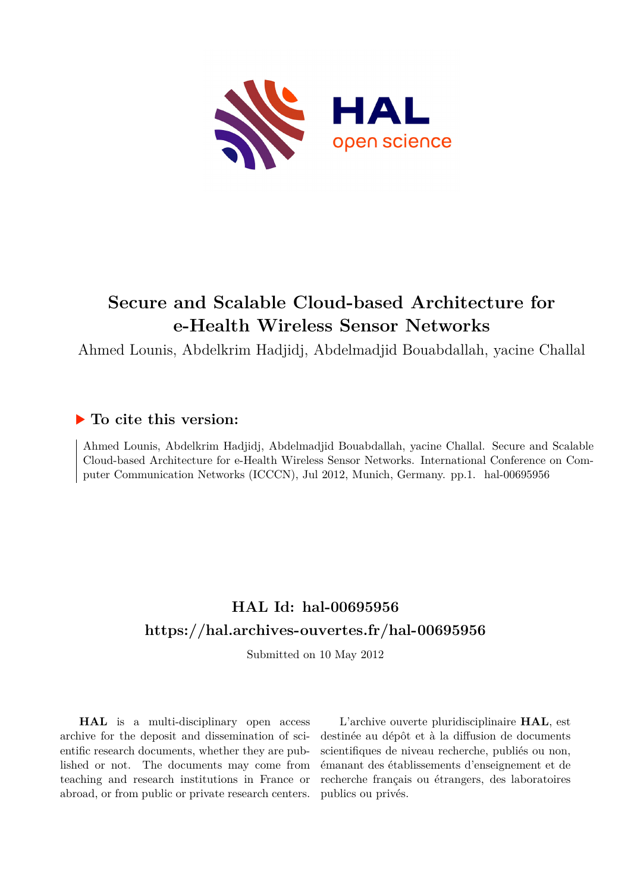

# **Secure and Scalable Cloud-based Architecture for e-Health Wireless Sensor Networks**

Ahmed Lounis, Abdelkrim Hadjidj, Abdelmadjid Bouabdallah, yacine Challal

# **To cite this version:**

Ahmed Lounis, Abdelkrim Hadjidj, Abdelmadjid Bouabdallah, yacine Challal. Secure and Scalable Cloud-based Architecture for e-Health Wireless Sensor Networks. International Conference on Computer Communication Networks (ICCCN), Jul 2012, Munich, Germany. pp.1. hal-00695956

# **HAL Id: hal-00695956 <https://hal.archives-ouvertes.fr/hal-00695956>**

Submitted on 10 May 2012

**HAL** is a multi-disciplinary open access archive for the deposit and dissemination of scientific research documents, whether they are published or not. The documents may come from teaching and research institutions in France or abroad, or from public or private research centers.

L'archive ouverte pluridisciplinaire **HAL**, est destinée au dépôt et à la diffusion de documents scientifiques de niveau recherche, publiés ou non, émanant des établissements d'enseignement et de recherche français ou étrangers, des laboratoires publics ou privés.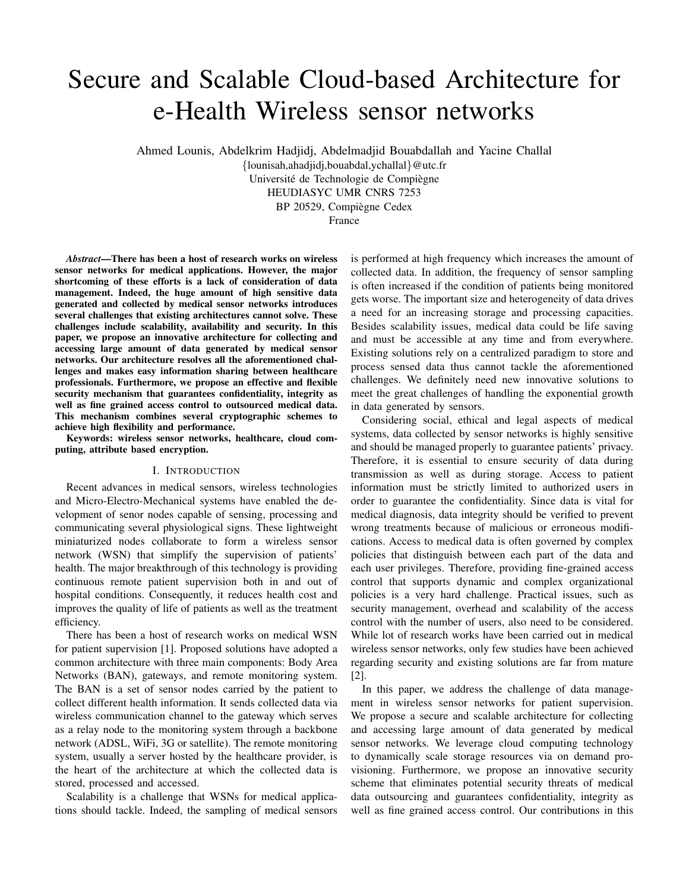# Secure and Scalable Cloud-based Architecture for e-Health Wireless sensor networks

Ahmed Lounis, Abdelkrim Hadjidj, Abdelmadjid Bouabdallah and Yacine Challal {lounisah,ahadjidj,bouabdal,ychallal}@utc.fr

Université de Technologie de Compiègne HEUDIASYC UMR CNRS 7253

BP 20529, Compiegne Cedex `

# France

*Abstract*—There has been a host of research works on wireless sensor networks for medical applications. However, the major shortcoming of these efforts is a lack of consideration of data management. Indeed, the huge amount of high sensitive data generated and collected by medical sensor networks introduces several challenges that existing architectures cannot solve. These challenges include scalability, availability and security. In this paper, we propose an innovative architecture for collecting and accessing large amount of data generated by medical sensor networks. Our architecture resolves all the aforementioned challenges and makes easy information sharing between healthcare professionals. Furthermore, we propose an effective and flexible security mechanism that guarantees confidentiality, integrity as well as fine grained access control to outsourced medical data. This mechanism combines several cryptographic schemes to achieve high flexibility and performance.

Keywords: wireless sensor networks, healthcare, cloud computing, attribute based encryption.

#### I. INTRODUCTION

Recent advances in medical sensors, wireless technologies and Micro-Electro-Mechanical systems have enabled the development of senor nodes capable of sensing, processing and communicating several physiological signs. These lightweight miniaturized nodes collaborate to form a wireless sensor network (WSN) that simplify the supervision of patients' health. The major breakthrough of this technology is providing continuous remote patient supervision both in and out of hospital conditions. Consequently, it reduces health cost and improves the quality of life of patients as well as the treatment efficiency.

There has been a host of research works on medical WSN for patient supervision [1]. Proposed solutions have adopted a common architecture with three main components: Body Area Networks (BAN), gateways, and remote monitoring system. The BAN is a set of sensor nodes carried by the patient to collect different health information. It sends collected data via wireless communication channel to the gateway which serves as a relay node to the monitoring system through a backbone network (ADSL, WiFi, 3G or satellite). The remote monitoring system, usually a server hosted by the healthcare provider, is the heart of the architecture at which the collected data is stored, processed and accessed.

Scalability is a challenge that WSNs for medical applications should tackle. Indeed, the sampling of medical sensors is performed at high frequency which increases the amount of collected data. In addition, the frequency of sensor sampling is often increased if the condition of patients being monitored gets worse. The important size and heterogeneity of data drives a need for an increasing storage and processing capacities. Besides scalability issues, medical data could be life saving and must be accessible at any time and from everywhere. Existing solutions rely on a centralized paradigm to store and process sensed data thus cannot tackle the aforementioned challenges. We definitely need new innovative solutions to meet the great challenges of handling the exponential growth in data generated by sensors.

Considering social, ethical and legal aspects of medical systems, data collected by sensor networks is highly sensitive and should be managed properly to guarantee patients' privacy. Therefore, it is essential to ensure security of data during transmission as well as during storage. Access to patient information must be strictly limited to authorized users in order to guarantee the confidentiality. Since data is vital for medical diagnosis, data integrity should be verified to prevent wrong treatments because of malicious or erroneous modifications. Access to medical data is often governed by complex policies that distinguish between each part of the data and each user privileges. Therefore, providing fine-grained access control that supports dynamic and complex organizational policies is a very hard challenge. Practical issues, such as security management, overhead and scalability of the access control with the number of users, also need to be considered. While lot of research works have been carried out in medical wireless sensor networks, only few studies have been achieved regarding security and existing solutions are far from mature [2].

In this paper, we address the challenge of data management in wireless sensor networks for patient supervision. We propose a secure and scalable architecture for collecting and accessing large amount of data generated by medical sensor networks. We leverage cloud computing technology to dynamically scale storage resources via on demand provisioning. Furthermore, we propose an innovative security scheme that eliminates potential security threats of medical data outsourcing and guarantees confidentiality, integrity as well as fine grained access control. Our contributions in this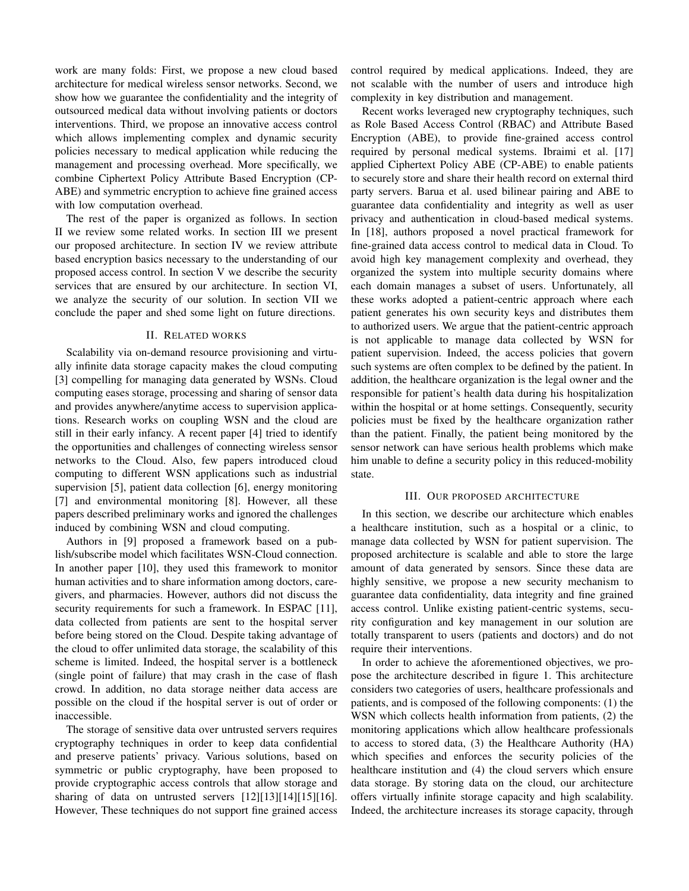work are many folds: First, we propose a new cloud based architecture for medical wireless sensor networks. Second, we show how we guarantee the confidentiality and the integrity of outsourced medical data without involving patients or doctors interventions. Third, we propose an innovative access control which allows implementing complex and dynamic security policies necessary to medical application while reducing the management and processing overhead. More specifically, we combine Ciphertext Policy Attribute Based Encryption (CP-ABE) and symmetric encryption to achieve fine grained access with low computation overhead.

The rest of the paper is organized as follows. In section II we review some related works. In section III we present our proposed architecture. In section IV we review attribute based encryption basics necessary to the understanding of our proposed access control. In section V we describe the security services that are ensured by our architecture. In section VI, we analyze the security of our solution. In section VII we conclude the paper and shed some light on future directions.

#### II. RELATED WORKS

Scalability via on-demand resource provisioning and virtually infinite data storage capacity makes the cloud computing [3] compelling for managing data generated by WSNs. Cloud computing eases storage, processing and sharing of sensor data and provides anywhere/anytime access to supervision applications. Research works on coupling WSN and the cloud are still in their early infancy. A recent paper [4] tried to identify the opportunities and challenges of connecting wireless sensor networks to the Cloud. Also, few papers introduced cloud computing to different WSN applications such as industrial supervision [5], patient data collection [6], energy monitoring [7] and environmental monitoring [8]. However, all these papers described preliminary works and ignored the challenges induced by combining WSN and cloud computing.

Authors in [9] proposed a framework based on a publish/subscribe model which facilitates WSN-Cloud connection. In another paper [10], they used this framework to monitor human activities and to share information among doctors, caregivers, and pharmacies. However, authors did not discuss the security requirements for such a framework. In ESPAC [11], data collected from patients are sent to the hospital server before being stored on the Cloud. Despite taking advantage of the cloud to offer unlimited data storage, the scalability of this scheme is limited. Indeed, the hospital server is a bottleneck (single point of failure) that may crash in the case of flash crowd. In addition, no data storage neither data access are possible on the cloud if the hospital server is out of order or inaccessible.

The storage of sensitive data over untrusted servers requires cryptography techniques in order to keep data confidential and preserve patients' privacy. Various solutions, based on symmetric or public cryptography, have been proposed to provide cryptographic access controls that allow storage and sharing of data on untrusted servers [12][13][14][15][16]. However, These techniques do not support fine grained access control required by medical applications. Indeed, they are not scalable with the number of users and introduce high complexity in key distribution and management.

Recent works leveraged new cryptography techniques, such as Role Based Access Control (RBAC) and Attribute Based Encryption (ABE), to provide fine-grained access control required by personal medical systems. Ibraimi et al. [17] applied Ciphertext Policy ABE (CP-ABE) to enable patients to securely store and share their health record on external third party servers. Barua et al. used bilinear pairing and ABE to guarantee data confidentiality and integrity as well as user privacy and authentication in cloud-based medical systems. In [18], authors proposed a novel practical framework for fine-grained data access control to medical data in Cloud. To avoid high key management complexity and overhead, they organized the system into multiple security domains where each domain manages a subset of users. Unfortunately, all these works adopted a patient-centric approach where each patient generates his own security keys and distributes them to authorized users. We argue that the patient-centric approach is not applicable to manage data collected by WSN for patient supervision. Indeed, the access policies that govern such systems are often complex to be defined by the patient. In addition, the healthcare organization is the legal owner and the responsible for patient's health data during his hospitalization within the hospital or at home settings. Consequently, security policies must be fixed by the healthcare organization rather than the patient. Finally, the patient being monitored by the sensor network can have serious health problems which make him unable to define a security policy in this reduced-mobility state.

#### III. OUR PROPOSED ARCHITECTURE

In this section, we describe our architecture which enables a healthcare institution, such as a hospital or a clinic, to manage data collected by WSN for patient supervision. The proposed architecture is scalable and able to store the large amount of data generated by sensors. Since these data are highly sensitive, we propose a new security mechanism to guarantee data confidentiality, data integrity and fine grained access control. Unlike existing patient-centric systems, security configuration and key management in our solution are totally transparent to users (patients and doctors) and do not require their interventions.

In order to achieve the aforementioned objectives, we propose the architecture described in figure 1. This architecture considers two categories of users, healthcare professionals and patients, and is composed of the following components: (1) the WSN which collects health information from patients, (2) the monitoring applications which allow healthcare professionals to access to stored data, (3) the Healthcare Authority (HA) which specifies and enforces the security policies of the healthcare institution and (4) the cloud servers which ensure data storage. By storing data on the cloud, our architecture offers virtually infinite storage capacity and high scalability. Indeed, the architecture increases its storage capacity, through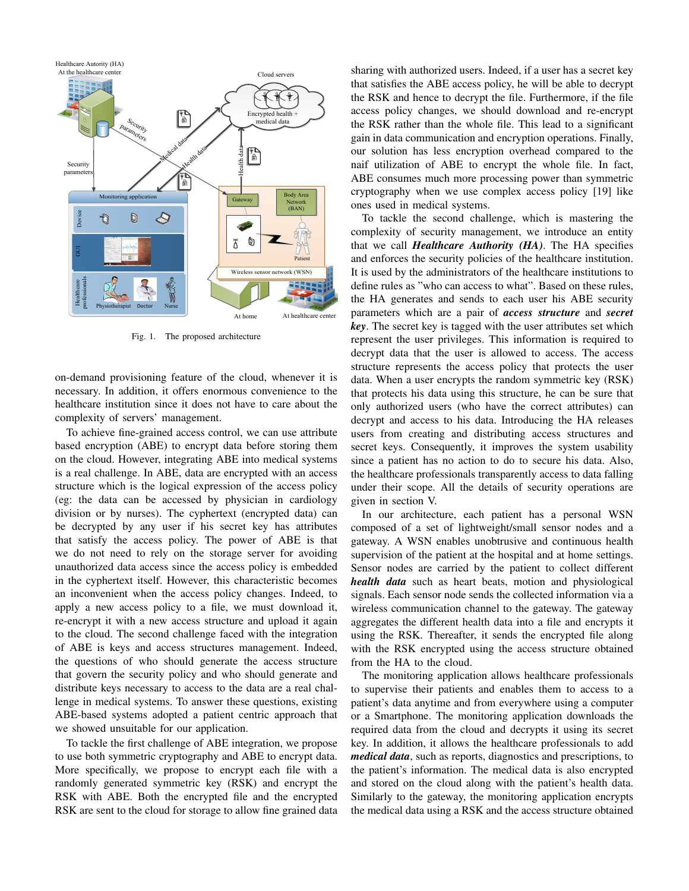Healthcare Autority (HA) At the healthcare center



Fig. 1. The proposed architecture

on-demand provisioning feature of the cloud, whenever it is necessary. In addition, it offers enormous convenience to the healthcare institution since it does not have to care about the complexity of servers' management.

To achieve fine-grained access control, we can use attribute based encryption (ABE) to encrypt data before storing them on the cloud. However, integrating ABE into medical systems is a real challenge. In ABE, data are encrypted with an access structure which is the logical expression of the access policy (eg: the data can be accessed by physician in cardiology division or by nurses). The cyphertext (encrypted data) can be decrypted by any user if his secret key has attributes that satisfy the access policy. The power of ABE is that we do not need to rely on the storage server for avoiding unauthorized data access since the access policy is embedded in the cyphertext itself. However, this characteristic becomes an inconvenient when the access policy changes. Indeed, to apply a new access policy to a file, we must download it, re-encrypt it with a new access structure and upload it again to the cloud. The second challenge faced with the integration of ABE is keys and access structures management. Indeed, the questions of who should generate the access structure that govern the security policy and who should generate and distribute keys necessary to access to the data are a real challenge in medical systems. To answer these questions, existing ABE-based systems adopted a patient centric approach that we showed unsuitable for our application.

To tackle the first challenge of ABE integration, we propose to use both symmetric cryptography and ABE to encrypt data. More specifically, we propose to encrypt each file with a randomly generated symmetric key (RSK) and encrypt the RSK with ABE. Both the encrypted file and the encrypted RSK are sent to the cloud for storage to allow fine grained data sharing with authorized users. Indeed, if a user has a secret key that satisfies the ABE access policy, he will be able to decrypt the RSK and hence to decrypt the file. Furthermore, if the file access policy changes, we should download and re-encrypt the RSK rather than the whole file. This lead to a significant gain in data communication and encryption operations. Finally, our solution has less encryption overhead compared to the naif utilization of ABE to encrypt the whole file. In fact, ABE consumes much more processing power than symmetric cryptography when we use complex access policy [19] like ones used in medical systems.

To tackle the second challenge, which is mastering the complexity of security management, we introduce an entity that we call *Healthcare Authority (HA)*. The HA specifies and enforces the security policies of the healthcare institution. It is used by the administrators of the healthcare institutions to define rules as "who can access to what". Based on these rules, the HA generates and sends to each user his ABE security parameters which are a pair of *access structure* and *secret key*. The secret key is tagged with the user attributes set which represent the user privileges. This information is required to decrypt data that the user is allowed to access. The access structure represents the access policy that protects the user data. When a user encrypts the random symmetric key (RSK) that protects his data using this structure, he can be sure that only authorized users (who have the correct attributes) can decrypt and access to his data. Introducing the HA releases users from creating and distributing access structures and secret keys. Consequently, it improves the system usability since a patient has no action to do to secure his data. Also, the healthcare professionals transparently access to data falling under their scope. All the details of security operations are given in section V.

In our architecture, each patient has a personal WSN composed of a set of lightweight/small sensor nodes and a gateway. A WSN enables unobtrusive and continuous health supervision of the patient at the hospital and at home settings. Sensor nodes are carried by the patient to collect different *health data* such as heart beats, motion and physiological signals. Each sensor node sends the collected information via a wireless communication channel to the gateway. The gateway aggregates the different health data into a file and encrypts it using the RSK. Thereafter, it sends the encrypted file along with the RSK encrypted using the access structure obtained from the HA to the cloud.

The monitoring application allows healthcare professionals to supervise their patients and enables them to access to a patient's data anytime and from everywhere using a computer or a Smartphone. The monitoring application downloads the required data from the cloud and decrypts it using its secret key. In addition, it allows the healthcare professionals to add *medical data*, such as reports, diagnostics and prescriptions, to the patient's information. The medical data is also encrypted and stored on the cloud along with the patient's health data. Similarly to the gateway, the monitoring application encrypts the medical data using a RSK and the access structure obtained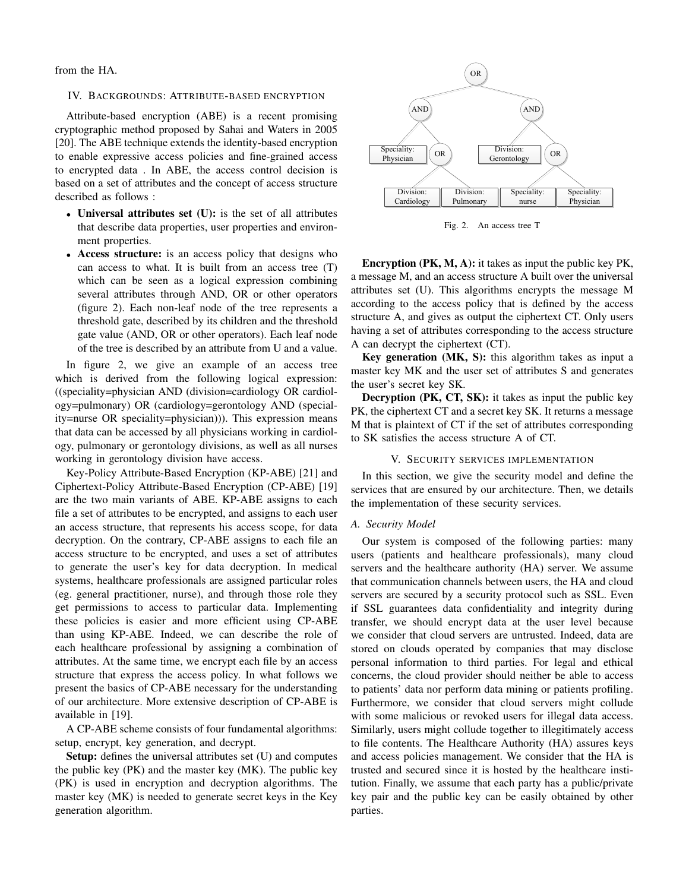from the HA.

## IV. BACKGROUNDS: ATTRIBUTE-BASED ENCRYPTION

Attribute-based encryption (ABE) is a recent promising cryptographic method proposed by Sahai and Waters in 2005 [20]. The ABE technique extends the identity-based encryption to enable expressive access policies and fine-grained access to encrypted data . In ABE, the access control decision is based on a set of attributes and the concept of access structure described as follows :

- Universal attributes set (U): is the set of all attributes that describe data properties, user properties and environment properties.
- Access structure: is an access policy that designs who can access to what. It is built from an access tree (T) which can be seen as a logical expression combining several attributes through AND, OR or other operators (figure 2). Each non-leaf node of the tree represents a threshold gate, described by its children and the threshold gate value (AND, OR or other operators). Each leaf node of the tree is described by an attribute from U and a value.

In figure 2, we give an example of an access tree which is derived from the following logical expression: ((speciality=physician AND (division=cardiology OR cardiology=pulmonary) OR (cardiology=gerontology AND (speciality=nurse OR speciality=physician))). This expression means that data can be accessed by all physicians working in cardiology, pulmonary or gerontology divisions, as well as all nurses working in gerontology division have access.

Key-Policy Attribute-Based Encryption (KP-ABE) [21] and Ciphertext-Policy Attribute-Based Encryption (CP-ABE) [19] are the two main variants of ABE. KP-ABE assigns to each file a set of attributes to be encrypted, and assigns to each user an access structure, that represents his access scope, for data decryption. On the contrary, CP-ABE assigns to each file an access structure to be encrypted, and uses a set of attributes to generate the user's key for data decryption. In medical systems, healthcare professionals are assigned particular roles (eg. general practitioner, nurse), and through those role they get permissions to access to particular data. Implementing these policies is easier and more efficient using CP-ABE than using KP-ABE. Indeed, we can describe the role of each healthcare professional by assigning a combination of attributes. At the same time, we encrypt each file by an access structure that express the access policy. In what follows we present the basics of CP-ABE necessary for the understanding of our architecture. More extensive description of CP-ABE is available in [19]. is excellent expressive access policies and fine-grained in excellent and substitute in the syecular state of an intergeneration is in excellented as follows: Consideration and interval and interval and interval and inter

A CP-ABE scheme consists of four fundamental algorithms: setup, encrypt, key generation, and decrypt.

Setup: defines the universal attributes set (U) and computes the public key (PK) and the master key (MK). The public key (PK) is used in encryption and decryption algorithms. The master key (MK) is needed to generate secret keys in the Key



Fig. 2. An access tree T

Encryption (PK, M, A): it takes as input the public key PK, a message M, and an access structure A built over the universal attributes set (U). This algorithms encrypts the message M according to the access policy that is defined by the access structure A, and gives as output the ciphertext CT. Only users having a set of attributes corresponding to the access structure A can decrypt the ciphertext (CT).

Key generation (MK, S): this algorithm takes as input a master key MK and the user set of attributes S and generates the user's secret key SK.

Decryption (PK, CT, SK): it takes as input the public key PK, the ciphertext CT and a secret key SK. It returns a message M that is plaintext of CT if the set of attributes corresponding to SK satisfies the access structure A of CT.

#### V. SECURITY SERVICES IMPLEMENTATION

In this section, we give the security model and define the services that are ensured by our architecture. Then, we details the implementation of these security services.

#### *A. Security Model*

Our system is composed of the following parties: many users (patients and healthcare professionals), many cloud servers and the healthcare authority (HA) server. We assume that communication channels between users, the HA and cloud servers are secured by a security protocol such as SSL. Even if SSL guarantees data confidentiality and integrity during transfer, we should encrypt data at the user level because we consider that cloud servers are untrusted. Indeed, data are stored on clouds operated by companies that may disclose personal information to third parties. For legal and ethical concerns, the cloud provider should neither be able to access to patients' data nor perform data mining or patients profiling. Furthermore, we consider that cloud servers might collude with some malicious or revoked users for illegal data access. Similarly, users might collude together to illegitimately access to file contents. The Healthcare Authority (HA) assures keys and access policies management. We consider that the HA is trusted and secured since it is hosted by the healthcare institution. Finally, we assume that each party has a public/private key pair and the public key can be easily obtained by other parties.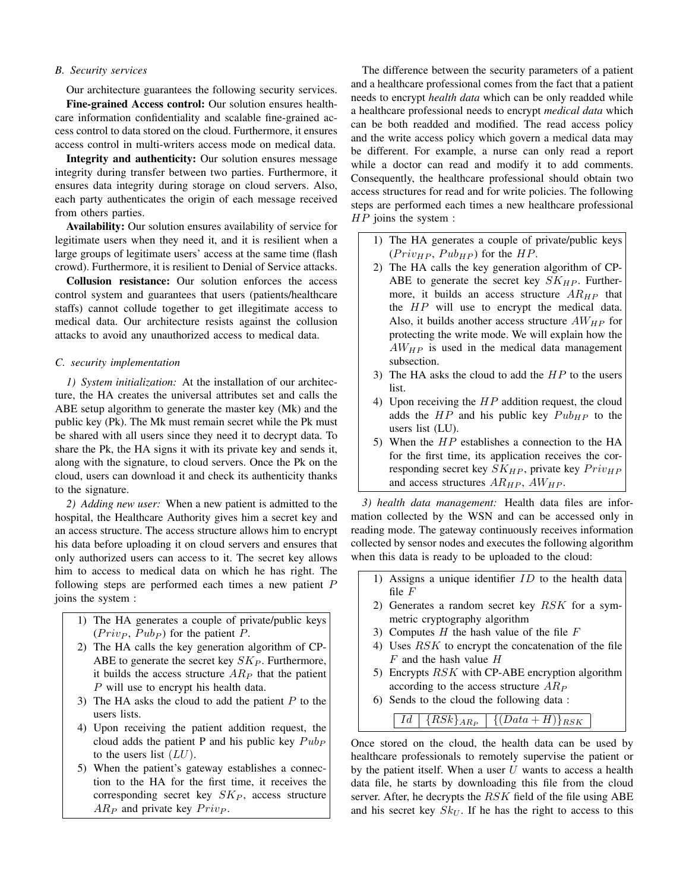# *B. Security services*

Our architecture guarantees the following security services. Fine-grained Access control: Our solution ensures healthcare information confidentiality and scalable fine-grained access control to data stored on the cloud. Furthermore, it ensures access control in multi-writers access mode on medical data.

Integrity and authenticity: Our solution ensures message integrity during transfer between two parties. Furthermore, it ensures data integrity during storage on cloud servers. Also, each party authenticates the origin of each message received from others parties.

Availability: Our solution ensures availability of service for legitimate users when they need it, and it is resilient when a large groups of legitimate users' access at the same time (flash crowd). Furthermore, it is resilient to Denial of Service attacks.

Collusion resistance: Our solution enforces the access control system and guarantees that users (patients/healthcare staffs) cannot collude together to get illegitimate access to medical data. Our architecture resists against the collusion attacks to avoid any unauthorized access to medical data.

# *C. security implementation*

*1) System initialization:* At the installation of our architecture, the HA creates the universal attributes set and calls the ABE setup algorithm to generate the master key (Mk) and the public key (Pk). The Mk must remain secret while the Pk must be shared with all users since they need it to decrypt data. To share the Pk, the HA signs it with its private key and sends it, along with the signature, to cloud servers. Once the Pk on the cloud, users can download it and check its authenticity thanks to the signature.

*2) Adding new user:* When a new patient is admitted to the hospital, the Healthcare Authority gives him a secret key and an access structure. The access structure allows him to encrypt his data before uploading it on cloud servers and ensures that only authorized users can access to it. The secret key allows him to access to medical data on which he has right. The following steps are performed each times a new patient P joins the system :

- 1) The HA generates a couple of private/public keys  $(Priv_P, Pub_P)$  for the patient P.
- 2) The HA calls the key generation algorithm of CP-ABE to generate the secret key  $SK_P$ . Furthermore, it builds the access structure  $AR_P$  that the patient P will use to encrypt his health data.
- 3) The HA asks the cloud to add the patient  $P$  to the users lists.
- 4) Upon receiving the patient addition request, the cloud adds the patient P and his public key  $Pub<sub>P</sub>$ to the users list  $(LU)$ .
- 5) When the patient's gateway establishes a connection to the HA for the first time, it receives the corresponding secret key  $SK_P$ , access structure  $AR_P$  and private key  $Priv_P$ .

The difference between the security parameters of a patient and a healthcare professional comes from the fact that a patient needs to encrypt *health data* which can be only readded while a healthcare professional needs to encrypt *medical data* which can be both readded and modified. The read access policy and the write access policy which govern a medical data may be different. For example, a nurse can only read a report while a doctor can read and modify it to add comments. Consequently, the healthcare professional should obtain two access structures for read and for write policies. The following steps are performed each times a new healthcare professional  $HP$  joins the system :

- 1) The HA generates a couple of private/public keys  $(Priv_{HP}, Pub_{HP})$  for the  $HP$ .
- 2) The HA calls the key generation algorithm of CP-ABE to generate the secret key  $SK_{HP}$ . Furthermore, it builds an access structure  $AR_{HP}$  that the  $HP$  will use to encrypt the medical data. Also, it builds another access structure  $AW_{HP}$  for protecting the write mode. We will explain how the  $AW_{HP}$  is used in the medical data management subsection.
- 3) The HA asks the cloud to add the  $HP$  to the users list.
- 4) Upon receiving the HP addition request, the cloud adds the  $HP$  and his public key  $Pub_{HP}$  to the users list (LU).
- 5) When the  $HP$  establishes a connection to the HA for the first time, its application receives the corresponding secret key  $SK_{HP}$ , private key  $Priv_{HP}$ and access structures  $AR_{HP}$ ,  $AW_{HP}$ .

*3) health data management:* Health data files are information collected by the WSN and can be accessed only in reading mode. The gateway continuously receives information collected by sensor nodes and executes the following algorithm when this data is ready to be uploaded to the cloud:

- 1) Assigns a unique identifier ID to the health data file F
- 2) Generates a random secret key RSK for a symmetric cryptography algorithm
- 3) Computes  $H$  the hash value of the file  $F$
- 4) Uses RSK to encrypt the concatenation of the file  $F$  and the hash value  $H$
- 5) Encrypts  $RSK$  with CP-ABE encryption algorithm according to the access structure  $AR_P$
- 6) Sends to the cloud the following data :

 $Id \mid \{RSk\}_{AR_P}$  $\overline{\{(Data + H)\}_{RSK}}$ 

Once stored on the cloud, the health data can be used by healthcare professionals to remotely supervise the patient or by the patient itself. When a user  $U$  wants to access a health data file, he starts by downloading this file from the cloud server. After, he decrypts the RSK field of the file using ABE and his secret key  $Sk_U$ . If he has the right to access to this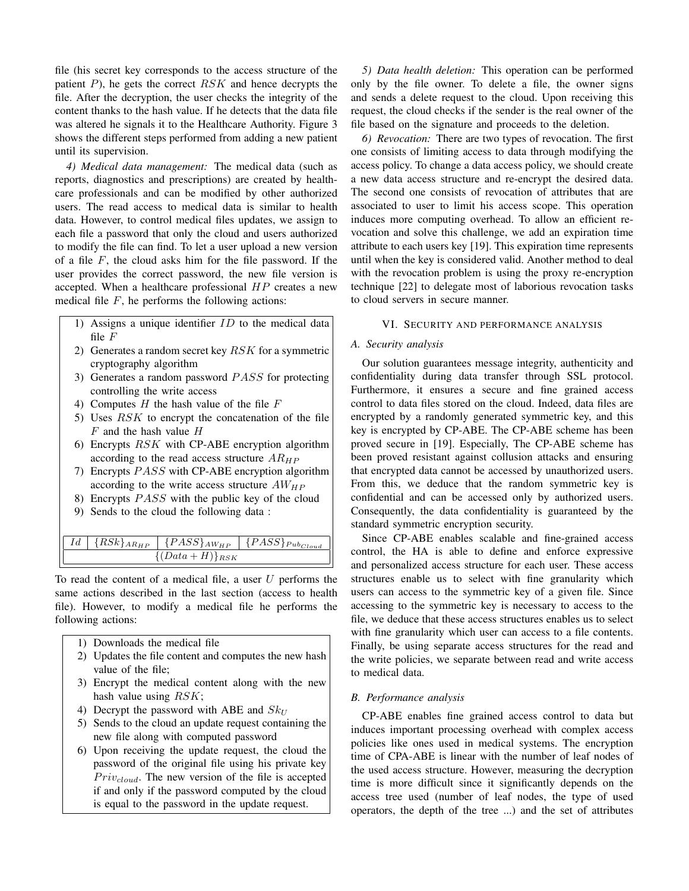file (his secret key corresponds to the access structure of the patient  $P$ ), he gets the correct  $RSK$  and hence decrypts the file. After the decryption, the user checks the integrity of the content thanks to the hash value. If he detects that the data file was altered he signals it to the Healthcare Authority. Figure 3 shows the different steps performed from adding a new patient until its supervision.

*4) Medical data management:* The medical data (such as reports, diagnostics and prescriptions) are created by healthcare professionals and can be modified by other authorized users. The read access to medical data is similar to health data. However, to control medical files updates, we assign to each file a password that only the cloud and users authorized to modify the file can find. To let a user upload a new version of a file  $F$ , the cloud asks him for the file password. If the user provides the correct password, the new file version is accepted. When a healthcare professional HP creates a new medical file  $F$ , he performs the following actions:

- 1) Assigns a unique identifier ID to the medical data file F
- 2) Generates a random secret key  $RSK$  for a symmetric cryptography algorithm
- 3) Generates a random password PASS for protecting controlling the write access
- 4) Computes  $H$  the hash value of the file  $F$
- 5) Uses RSK to encrypt the concatenation of the file  $F$  and the hash value  $H$
- 6) Encrypts RSK with CP-ABE encryption algorithm according to the read access structure  $AR_{HP}$
- 7) Encrypts *PASS* with CP-ABE encryption algorithm according to the write access structure  $AW_{HP}$
- 8) Encrypts *PASS* with the public key of the cloud
- 9) Sends to the cloud the following data :

|                               |  |  | $\begin{array}{ c c c c c c } \hline \hline Id & \{RSk\}_{AR_{HP}} & \{PASS\}_{AW_{HP}} & \{PASS\}_{PubCloud} \hline \end{array}$ |  |  |  |  |
|-------------------------------|--|--|-----------------------------------------------------------------------------------------------------------------------------------|--|--|--|--|
| $\{(\text{Data} + H)\}_{RSK}$ |  |  |                                                                                                                                   |  |  |  |  |

To read the content of a medical file, a user  $U$  performs the same actions described in the last section (access to health file). However, to modify a medical file he performs the following actions:

- 1) Downloads the medical file
- 2) Updates the file content and computes the new hash value of the file;
- 3) Encrypt the medical content along with the new hash value using  $RSK$ ;
- 4) Decrypt the password with ABE and  $Sk_U$
- 5) Sends to the cloud an update request containing the new file along with computed password
- 6) Upon receiving the update request, the cloud the password of the original file using his private key  $Priv_{cloud}$ . The new version of the file is accepted if and only if the password computed by the cloud is equal to the password in the update request.

*5) Data health deletion:* This operation can be performed only by the file owner. To delete a file, the owner signs and sends a delete request to the cloud. Upon receiving this request, the cloud checks if the sender is the real owner of the file based on the signature and proceeds to the deletion.

*6) Revocation:* There are two types of revocation. The first one consists of limiting access to data through modifying the access policy. To change a data access policy, we should create a new data access structure and re-encrypt the desired data. The second one consists of revocation of attributes that are associated to user to limit his access scope. This operation induces more computing overhead. To allow an efficient revocation and solve this challenge, we add an expiration time attribute to each users key [19]. This expiration time represents until when the key is considered valid. Another method to deal with the revocation problem is using the proxy re-encryption technique [22] to delegate most of laborious revocation tasks to cloud servers in secure manner.

# VI. SECURITY AND PERFORMANCE ANALYSIS

## *A. Security analysis*

Our solution guarantees message integrity, authenticity and confidentiality during data transfer through SSL protocol. Furthermore, it ensures a secure and fine grained access control to data files stored on the cloud. Indeed, data files are encrypted by a randomly generated symmetric key, and this key is encrypted by CP-ABE. The CP-ABE scheme has been proved secure in [19]. Especially, The CP-ABE scheme has been proved resistant against collusion attacks and ensuring that encrypted data cannot be accessed by unauthorized users. From this, we deduce that the random symmetric key is confidential and can be accessed only by authorized users. Consequently, the data confidentiality is guaranteed by the standard symmetric encryption security.

Since CP-ABE enables scalable and fine-grained access control, the HA is able to define and enforce expressive and personalized access structure for each user. These access structures enable us to select with fine granularity which users can access to the symmetric key of a given file. Since accessing to the symmetric key is necessary to access to the file, we deduce that these access structures enables us to select with fine granularity which user can access to a file contents. Finally, be using separate access structures for the read and the write policies, we separate between read and write access to medical data.

# *B. Performance analysis*

CP-ABE enables fine grained access control to data but induces important processing overhead with complex access policies like ones used in medical systems. The encryption time of CPA-ABE is linear with the number of leaf nodes of the used access structure. However, measuring the decryption time is more difficult since it significantly depends on the access tree used (number of leaf nodes, the type of used operators, the depth of the tree ...) and the set of attributes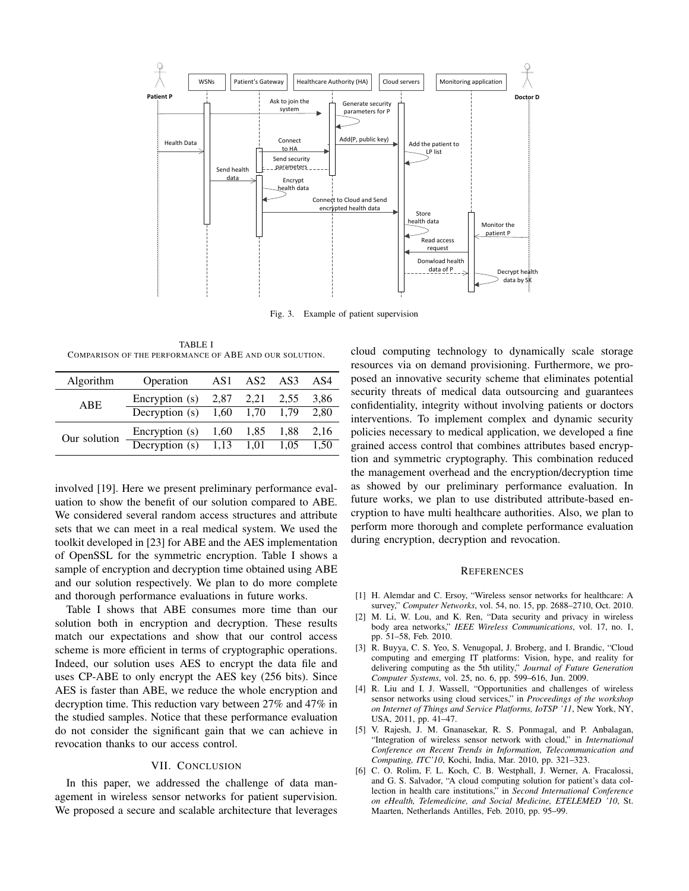

Fig. 3. Example of patient supervision

TABLE I COMPARISON OF THE PERFORMANCE OF ABE AND OUR SOLUTION.

| Algorithm    | Operation                           | AS1  | AS <sub>2</sub> | AS3  | AS4  |
|--------------|-------------------------------------|------|-----------------|------|------|
| <b>ABE</b>   | Encryption (s)                      | 2,87 | 2,21            | 2.55 | 3,86 |
|              | Decryption (s) $1,60$ $1,70$ $1,79$ |      |                 |      | 2.80 |
| Our solution | Encryption (s)                      | 1,60 | 1,85            | 1.88 | 2,16 |
|              | Decryption $(s)$ 1,13 1,01          |      |                 | 1.05 | 1.50 |

involved [19]. Here we present preliminary performance evaluation to show the benefit of our solution compared to ABE. We considered several random access structures and attribute sets that we can meet in a real medical system. We used the toolkit developed in [23] for ABE and the AES implementation of OpenSSL for the symmetric encryption. Table I shows a sample of encryption and decryption time obtained using ABE and our solution respectively. We plan to do more complete and thorough performance evaluations in future works.

Table I shows that ABE consumes more time than our solution both in encryption and decryption. These results match our expectations and show that our control access scheme is more efficient in terms of cryptographic operations. Indeed, our solution uses AES to encrypt the data file and uses CP-ABE to only encrypt the AES key (256 bits). Since AES is faster than ABE, we reduce the whole encryption and decryption time. This reduction vary between 27% and 47% in the studied samples. Notice that these performance evaluation do not consider the significant gain that we can achieve in revocation thanks to our access control.

#### VII. CONCLUSION

In this paper, we addressed the challenge of data management in wireless sensor networks for patient supervision. We proposed a secure and scalable architecture that leverages

cloud computing technology to dynamically scale storage resources via on demand provisioning. Furthermore, we proposed an innovative security scheme that eliminates potential security threats of medical data outsourcing and guarantees confidentiality, integrity without involving patients or doctors interventions. To implement complex and dynamic security policies necessary to medical application, we developed a fine grained access control that combines attributes based encryption and symmetric cryptography. This combination reduced the management overhead and the encryption/decryption time as showed by our preliminary performance evaluation. In future works, we plan to use distributed attribute-based encryption to have multi healthcare authorities. Also, we plan to perform more thorough and complete performance evaluation during encryption, decryption and revocation.

#### **REFERENCES**

- [1] H. Alemdar and C. Ersoy, "Wireless sensor networks for healthcare: A survey," *Computer Networks*, vol. 54, no. 15, pp. 2688–2710, Oct. 2010.
- [2] M. Li, W. Lou, and K. Ren, "Data security and privacy in wireless body area networks," *IEEE Wireless Communications*, vol. 17, no. 1, pp. 51–58, Feb. 2010.
- [3] R. Buyya, C. S. Yeo, S. Venugopal, J. Broberg, and I. Brandic, "Cloud computing and emerging IT platforms: Vision, hype, and reality for delivering computing as the 5th utility," *Journal of Future Generation Computer Systems*, vol. 25, no. 6, pp. 599–616, Jun. 2009.
- [4] R. Liu and I. J. Wassell, "Opportunities and challenges of wireless sensor networks using cloud services," in *Proceedings of the workshop on Internet of Things and Service Platforms, IoTSP '11*, New York, NY, USA, 2011, pp. 41–47.
- [5] V. Rajesh, J. M. Gnanasekar, R. S. Ponmagal, and P. Anbalagan, "Integration of wireless sensor network with cloud," in *International Conference on Recent Trends in Information, Telecommunication and Computing, ITC'10*, Kochi, India, Mar. 2010, pp. 321–323.
- [6] C. O. Rolim, F. L. Koch, C. B. Westphall, J. Werner, A. Fracalossi, and G. S. Salvador, "A cloud computing solution for patient's data collection in health care institutions," in *Second International Conference on eHealth, Telemedicine, and Social Medicine, ETELEMED '10*, St. Maarten, Netherlands Antilles, Feb. 2010, pp. 95–99.